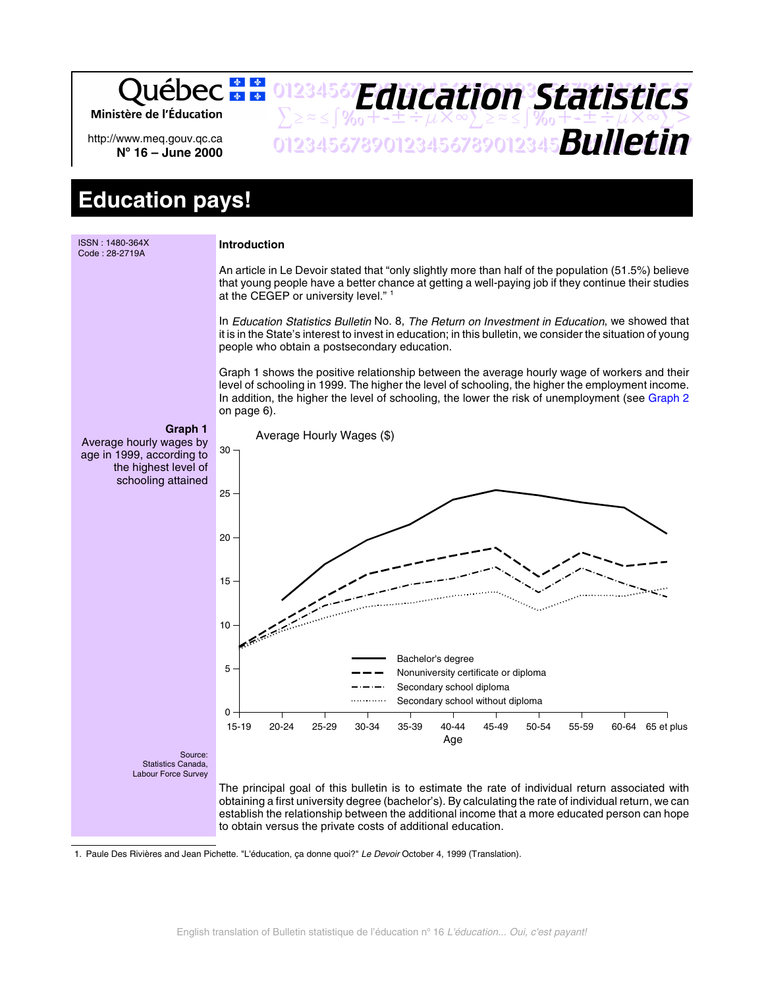Québec : 01234567**F***Anri Stion Statictice Education Statistics* Ministère de l'Éducation  $\sum z \approx \int \%_0 + t \pm i \mu \times \infty \sum z \approx \int \%_0 + t \pm i \mu \times \infty \sum >$ 01234567890123456789012345678901234567 *Bulletin* http://www.meq.gouv.qc.ca **No 16 – June 2000**

# **Education pays!**



<sup>1.</sup> Paule Des Rivières and Jean Pichette. "L'éducation, ca donne quoi?" Le Devoir October 4, 1999 (Translation).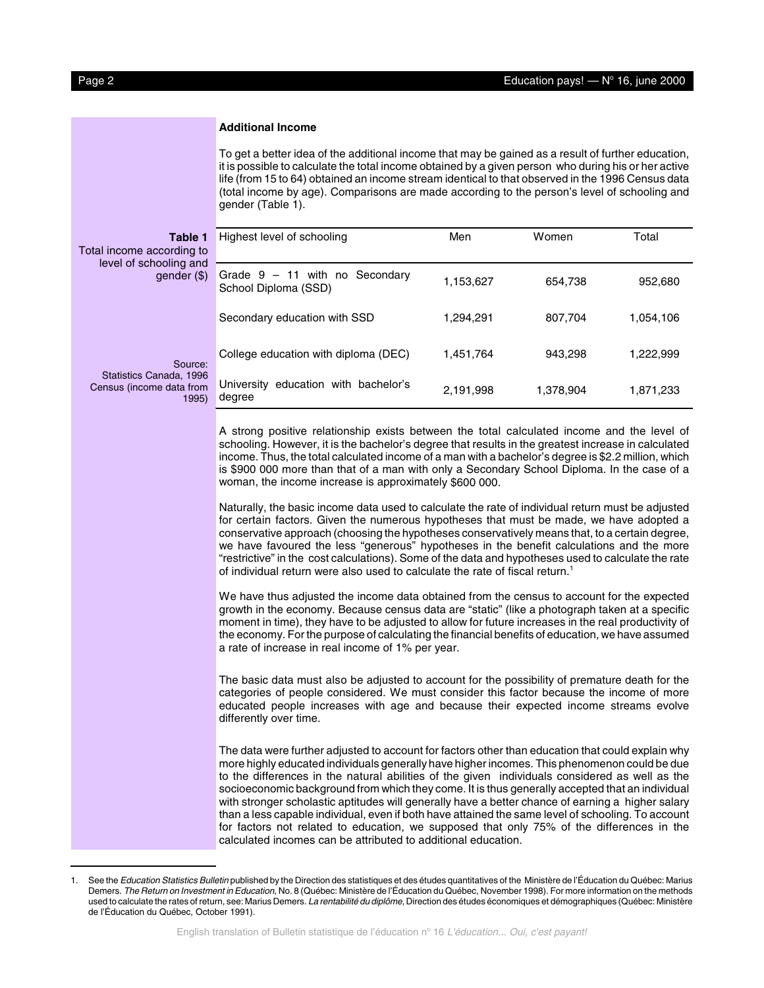#### **Additional Income**

To get a better idea of the additional income that may be gained as a result of further education, it is possible to calculate the total income obtained by a given person who during his or her active life (from 15 to 64) obtained an income stream identical to that observed in the 1996 Census data (total income by age). Comparisons are made according to the person's level of schooling and gender (Table 1).

| Table 1<br>Total income according to<br>level of schooling and<br>gender $(\$)$ | Highest level of schooling                               | Men       | Women     | Total     |
|---------------------------------------------------------------------------------|----------------------------------------------------------|-----------|-----------|-----------|
|                                                                                 | Grade $9 - 11$ with no Secondary<br>School Diploma (SSD) | 1,153,627 | 654.738   | 952.680   |
|                                                                                 | Secondary education with SSD                             | 1.294.291 | 807.704   | 1.054.106 |
| Source:<br>Statistics Canada, 1996<br>Census (income data from<br>1995)         | College education with diploma (DEC)                     | 1,451,764 | 943.298   | 1.222,999 |
|                                                                                 | University education with bachelor's<br>degree           | 2.191.998 | 1.378.904 | 1,871,233 |
|                                                                                 |                                                          |           |           |           |

A strong positive relationship exists between the total calculated income and the level of schooling. However, it is the bachelor's degree that results in the greatest increase in calculated income. Thus, the total calculated income of a man with a bachelor's degree is \$2.2 million, which is \$900 000 more than that of a man with only a Secondary School Diploma. In the case of a woman, the income increase is approximately \$600 000.

Naturally, the basic income data used to calculate the rate of individual return must be adjusted for certain factors. Given the numerous hypotheses that must be made, we have adopted a conservative approach (choosing the hypotheses conservatively means that, to a certain degree, we have favoured the less "generous" hypotheses in the benefit calculations and the more "restrictive" in the cost calculations). Some of the data and hypotheses used to calculate the rate of individual return were also used to calculate the rate of fiscal return.<sup>1</sup>

We have thus adjusted the income data obtained from the census to account for the expected growth in the economy. Because census data are "static" (like a photograph taken at a specific moment in time), they have to be adjusted to allow for future increases in the real productivity of the economy. For the purpose of calculating the financial benefits of education, we have assumed a rate of increase in real income of 1% per year.

The basic data must also be adjusted to account for the possibility of premature death for the categories of people considered. We must consider this factor because the income of more educated people increases with age and because their expected income streams evolve differently over time.

The data were further adjusted to account for factors other than education that could explain why more highly educated individuals generally have higher incomes. This phenomenon could be due to the differences in the natural abilities of the given individuals considered as well as the socioeconomic background from which they come. It is thus generally accepted that an individual with stronger scholastic aptitudes will generally have a better chance of earning a higher salary than a less capable individual, even if both have attained the same level of schooling. To account for factors not related to education, we supposed that only 75% of the differences in the calculated incomes can be attributed to additional education.

See the Education Statistics Bulletin published by the Direction des statistiques et des études quantitatives of the Ministère de l'Éducation du Québec: Marius Demers. The Return on Investment in Education, No. 8 (Québec: Ministère de l'Éducation du Québec, November 1998). For more information on the methods used to calculate the rates of return, see: Marius Demers. La rentabilité du diplôme, Direction des études économiques et démographiques (Québec: Ministère de l'Éducation du Québec, October 1991).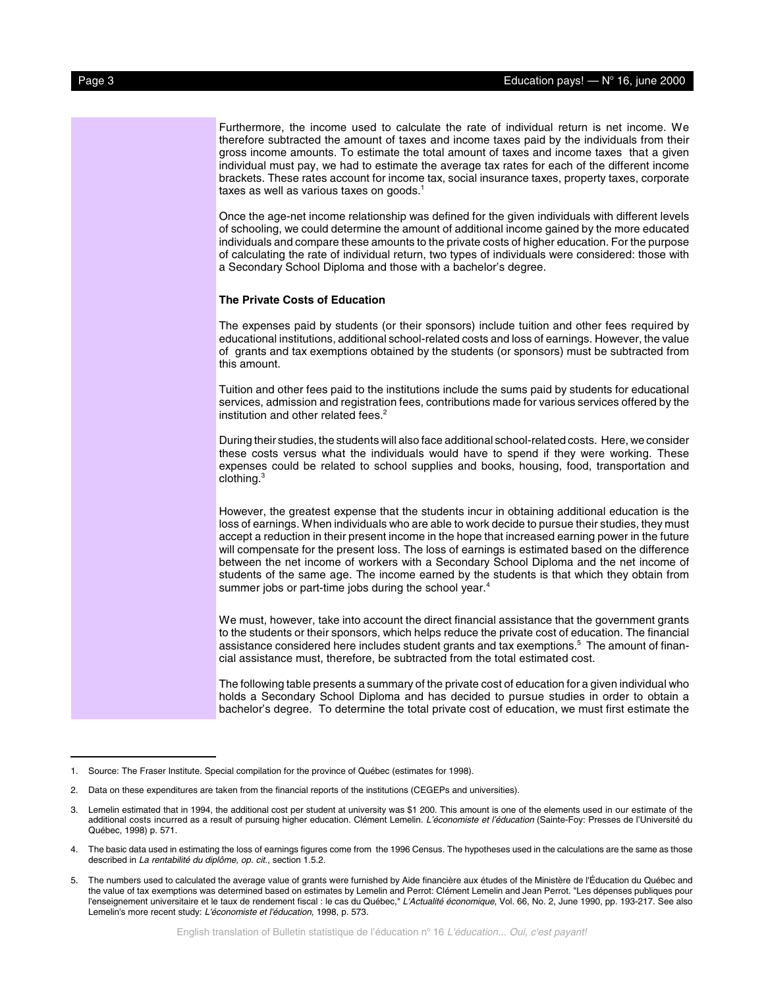Furthermore, the income used to calculate the rate of individual return is net income. We therefore subtracted the amount of taxes and income taxes paid by the individuals from their gross income amounts. To estimate the total amount of taxes and income taxes that a given individual must pay, we had to estimate the average tax rates for each of the different income brackets. These rates account for income tax, social insurance taxes, property taxes, corporate taxes as well as various taxes on goods. $1$ Once the age-net income relationship was defined for the given individuals with different levels of schooling, we could determine the amount of additional income gained by the more educated individuals and compare these amounts to the private costs of higher education. For the purpose of calculating the rate of individual return, two types of individuals were considered: those with a Secondary School Diploma and those with a bachelor's degree. **The Private Costs of Education** The expenses paid by students (or their sponsors) include tuition and other fees required by educational institutions, additional school-related costs and loss of earnings. However, the value of grants and tax exemptions obtained by the students (or sponsors) must be subtracted from this amount. Tuition and other fees paid to the institutions include the sums paid by students for educational services, admission and registration fees, contributions made for various services offered by the institution and other related fees.<sup>2</sup> During their studies, the students will also face additional school-related costs. Here, we consider these costs versus what the individuals would have to spend if they were working. These expenses could be related to school supplies and books, housing, food, transportation and clothing. $^3$ However, the greatest expense that the students incur in obtaining additional education is the loss of earnings. When individuals who are able to work decide to pursue their studies, they must accept a reduction in their present income in the hope that increased earning power in the future will compensate for the present loss. The loss of earnings is estimated based on the difference between the net income of workers with a Secondary School Diploma and the net income of students of the same age. The income earned by the students is that which they obtain from summer jobs or part-time jobs during the school year.<sup>4</sup> We must, however, take into account the direct financial assistance that the government grants to the students or their sponsors, which helps reduce the private cost of education. The financial assistance considered here includes student grants and tax exemptions.<sup>5</sup> The amount of financial assistance must, therefore, be subtracted from the total estimated cost. The following table presents a summary of the private cost of education for a given individual who holds a Secondary School Diploma and has decided to pursue studies in order to obtain a bachelor's degree. To determine the total private cost of education, we must first estimate the

<sup>1.</sup> Source: The Fraser Institute. Special compilation for the province of Québec (estimates for 1998).

<sup>2.</sup> Data on these expenditures are taken from the financial reports of the institutions (CEGEPs and universities).

<sup>3.</sup> Lemelin estimated that in 1994, the additional cost per student at university was \$1 200. This amount is one of the elements used in our estimate of the additional costs incurred as a result of pursuing higher education. Clément Lemelin. L'économiste et l'éducation (Sainte-Foy: Presses de l'Université du Québec, 1998) p. 571.

<sup>4.</sup> The basic data used in estimating the loss of earnings figures come from the 1996 Census. The hypotheses used in the calculations are the same as those described in La rentabilité du diplôme, op. cit., section 1.5.2.

<sup>5.</sup> The numbers used to calculated the average value of grants were furnished by Aide financière aux études of the Ministère de l'Éducation du Québec and the value of tax exemptions was determined based on estimates by Lemelin and Perrot: Clément Lemelin and Jean Perrot. "Les dépenses publiques pour l'enseignement universitaire et le taux de rendement fiscal : le cas du Québec," L'Actualité économique, Vol. 66, No. 2, June 1990, pp. 193-217. See also Lemelin's more recent study: L'économiste et l'éducation, 1998, p. 573.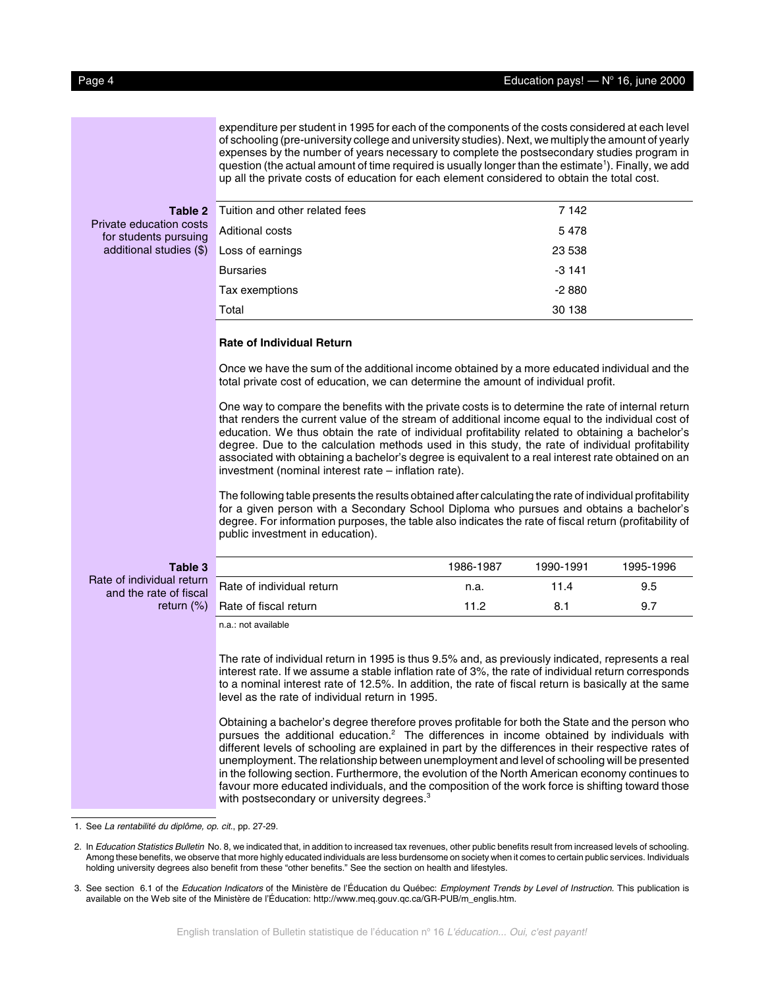expenditure per student in 1995 for each of the components of the costs considered at each level of schooling (pre-university college and university studies). Next, we multiply the amount of yearly expenses by the number of years necessary to complete the postsecondary studies program in question (the actual amount of time required is usually longer than the estimate<sup>1</sup>). Finally, we add up all the private costs of education for each element considered to obtain the total cost.

# **Table 2**

## Private education costs for students pursuing additional studies (\$)

| Tuition and other related fees | 7 142   |  |
|--------------------------------|---------|--|
| Aditional costs                | 5478    |  |
| Loss of earnings               | 23 538  |  |
| <b>Bursaries</b>               | $-3141$ |  |
| Tax exemptions                 | $-2880$ |  |
| Total                          | 30 138  |  |

### **Rate of Individual Return**

Once we have the sum of the additional income obtained by a more educated individual and the total private cost of education, we can determine the amount of individual profit.

One way to compare the benefits with the private costs is to determine the rate of internal return that renders the current value of the stream of additional income equal to the individual cost of education. We thus obtain the rate of individual profitability related to obtaining a bachelor's degree. Due to the calculation methods used in this study, the rate of individual profitability associated with obtaining a bachelor's degree is equivalent to a real interest rate obtained on an investment (nominal interest rate – inflation rate).

The following table presents the results obtained after calculating the rate of individual profitability for a given person with a Secondary School Diploma who pursues and obtains a bachelor's degree. For information purposes, the table also indicates the rate of fiscal return (profitability of public investment in education).

#### **Table 3** Rate of individual return

return (%)

and the rate of fiscal

|                           | 1986-1987 | 1990-1991 | 1995-1996 |
|---------------------------|-----------|-----------|-----------|
| Rate of individual return | n.a.      | 11.4      | 9.5       |
| Rate of fiscal return     | 11 2      | 8.1       | 9.7       |

n.a.: not available

The rate of individual return in 1995 is thus 9.5% and, as previously indicated, represents a real interest rate. If we assume a stable inflation rate of 3%, the rate of individual return corresponds to a nominal interest rate of 12.5%. In addition, the rate of fiscal return is basically at the same level as the rate of individual return in 1995.

Obtaining a bachelor's degree therefore proves profitable for both the State and the person who pursues the additional education.<sup>2</sup> The differences in income obtained by individuals with different levels of schooling are explained in part by the differences in their respective rates of unemployment. The relationship between unemployment and level of schooling will be presented in the following section. Furthermore, the evolution of the North American economy continues to favour more educated individuals, and the composition of the work force is shifting toward those with postsecondary or university degrees.<sup>3</sup>

1. See La rentabilité du diplôme, op. cit., pp. 27-29.

2. In Education Statistics Bulletin No. 8, we indicated that, in addition to increased tax revenues, other public benefits result from increased levels of schooling. Among these benefits, we observe that more highly educated individuals are less burdensome on society when it comes to certain public services. Individuals holding university degrees also benefit from these "other benefits." See the section on health and lifestyles.

3. See section 6.1 of the Education Indicators of the Ministère de l'Éducation du Québec: Employment Trends by Level of Instruction. This publication is available on the Web site of the Ministère de l'Éducation: http://www.meq.gouv.qc.ca/GR-PUB/m\_englis.htm.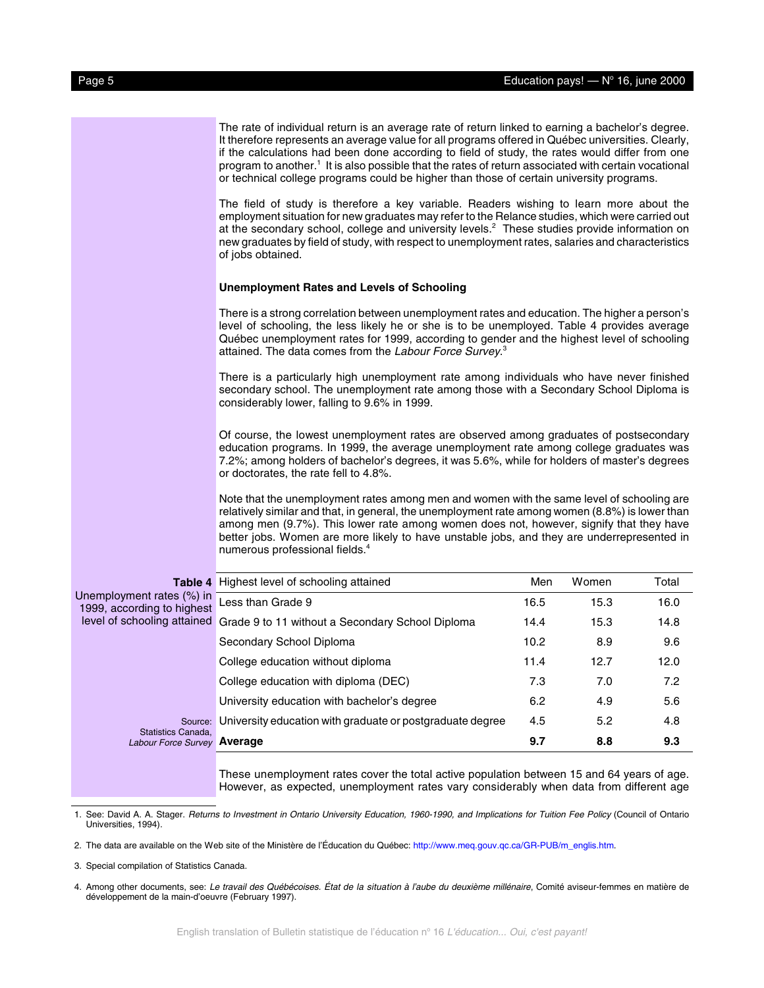|                                                         | The rate of individual return is an average rate of return linked to earning a bachelor's degree.<br>It therefore represents an average value for all programs offered in Québec universities. Clearly,<br>if the calculations had been done according to field of study, the rates would differ from one<br>program to another. <sup>1</sup> It is also possible that the rates of return associated with certain vocational<br>or technical college programs could be higher than those of certain university programs. |      |       |       |  |
|---------------------------------------------------------|---------------------------------------------------------------------------------------------------------------------------------------------------------------------------------------------------------------------------------------------------------------------------------------------------------------------------------------------------------------------------------------------------------------------------------------------------------------------------------------------------------------------------|------|-------|-------|--|
|                                                         | The field of study is therefore a key variable. Readers wishing to learn more about the<br>employment situation for new graduates may refer to the Relance studies, which were carried out<br>at the secondary school, college and university levels. <sup>2</sup> These studies provide information on<br>new graduates by field of study, with respect to unemployment rates, salaries and characteristics<br>of jobs obtained.                                                                                         |      |       |       |  |
|                                                         | Unemployment Rates and Levels of Schooling                                                                                                                                                                                                                                                                                                                                                                                                                                                                                |      |       |       |  |
|                                                         | There is a strong correlation between unemployment rates and education. The higher a person's<br>level of schooling, the less likely he or she is to be unemployed. Table 4 provides average<br>Québec unemployment rates for 1999, according to gender and the highest level of schooling<br>attained. The data comes from the Labour Force Survey. <sup>3</sup>                                                                                                                                                         |      |       |       |  |
|                                                         | There is a particularly high unemployment rate among individuals who have never finished<br>secondary school. The unemployment rate among those with a Secondary School Diploma is<br>considerably lower, falling to 9.6% in 1999.                                                                                                                                                                                                                                                                                        |      |       |       |  |
|                                                         | Of course, the lowest unemployment rates are observed among graduates of postsecondary<br>education programs. In 1999, the average unemployment rate among college graduates was<br>7.2%; among holders of bachelor's degrees, it was 5.6%, while for holders of master's degrees<br>or doctorates, the rate fell to 4.8%.                                                                                                                                                                                                |      |       |       |  |
|                                                         | Note that the unemployment rates among men and women with the same level of schooling are<br>relatively similar and that, in general, the unemployment rate among women (8.8%) is lower than<br>among men (9.7%). This lower rate among women does not, however, signify that they have<br>better jobs. Women are more likely to have unstable jobs, and they are underrepresented in<br>numerous professional fields. <sup>4</sup>                                                                                       |      |       |       |  |
|                                                         | <b>Table 4</b> Highest level of schooling attained                                                                                                                                                                                                                                                                                                                                                                                                                                                                        | Men  | Women | Total |  |
| Unemployment rates (%) in<br>1999, according to highest | Less than Grade 9                                                                                                                                                                                                                                                                                                                                                                                                                                                                                                         | 16.5 | 15.3  | 16.0  |  |
|                                                         | level of schooling attained Grade 9 to 11 without a Secondary School Diploma                                                                                                                                                                                                                                                                                                                                                                                                                                              | 14.4 | 15.3  | 14.8  |  |
|                                                         | Secondary School Diploma                                                                                                                                                                                                                                                                                                                                                                                                                                                                                                  | 10.2 | 8.9   | 9.6   |  |
|                                                         | College education without diploma                                                                                                                                                                                                                                                                                                                                                                                                                                                                                         | 11.4 | 12.7  | 12.0  |  |
|                                                         | College education with diploma (DEC)                                                                                                                                                                                                                                                                                                                                                                                                                                                                                      | 7.3  | 7.0   | 7.2   |  |
|                                                         | University education with bachelor's degree                                                                                                                                                                                                                                                                                                                                                                                                                                                                               | 6.2  | 4.9   | 5.6   |  |
| Source:                                                 | University education with graduate or postgraduate degree                                                                                                                                                                                                                                                                                                                                                                                                                                                                 | 4.5  | 5.2   | 4.8   |  |
| Statistics Canada,<br>Labour Force Survey Average       |                                                                                                                                                                                                                                                                                                                                                                                                                                                                                                                           | 9.7  | 8.8   | 9.3   |  |
|                                                         |                                                                                                                                                                                                                                                                                                                                                                                                                                                                                                                           |      |       |       |  |

These unemployment rates cover the total active population between 15 and 64 years of age. However, as expected, unemployment rates vary considerably when data from different age

1. See: David A. A. Stager. Returns to Investment in Ontario University Education, 1960-1990, and Implications for Tuition Fee Policy (Council of Ontario Universities, 1994).

2. The data are available on the Web site of the Ministère de l'Éducation du Québec[: http://www.meq.gouv.qc.ca/GR-PUB/m\\_englis.htm.](http://www.meq.gouv.qc.ca/GR-PUB/m_englis.htm)

3. Special compilation of Statistics Canada.

4. Among other documents, see: Le travail des Québécoises. État de la situation à l'aube du deuxième millénaire, Comité aviseur-femmes en matière de développement de la main-d'oeuvre (February 1997).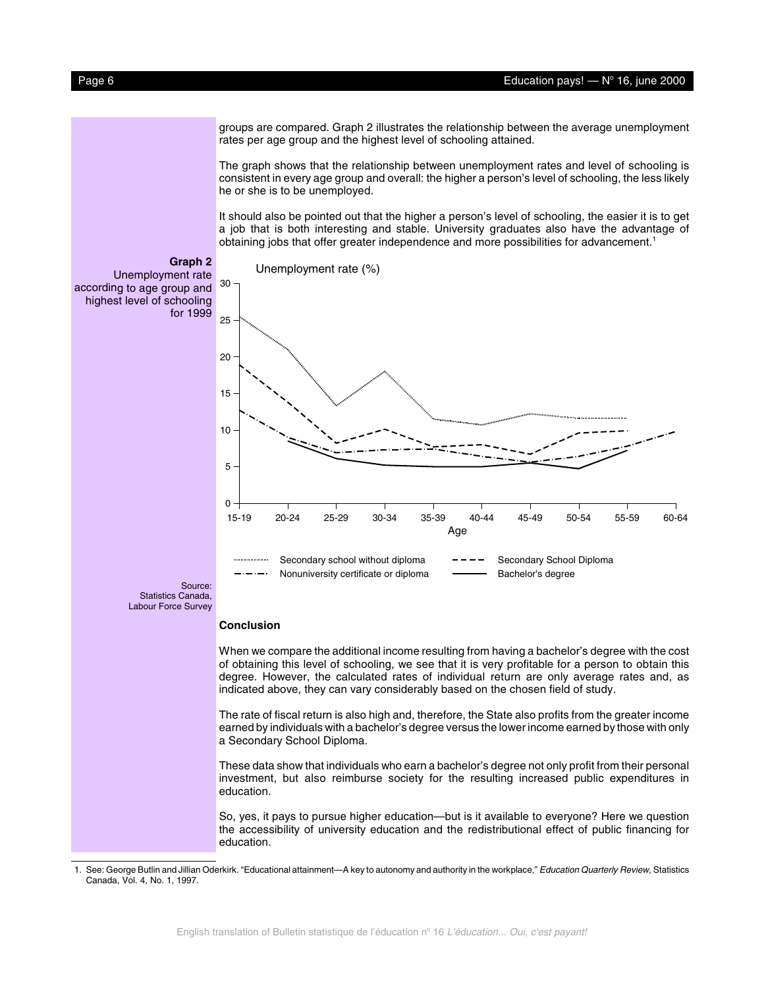#### <span id="page-5-0"></span>Page 6 Education pays! — No 16, june 2000

groups are compared. Graph 2 illustrates the relationship between the average unemployment rates per age group and the highest level of schooling attained.

The graph shows that the relationship between unemployment rates and level of schooling is consistent in every age group and overall: the higher a person's level of schooling, the less likely he or she is to be unemployed.

It should also be pointed out that the higher a person's level of schooling, the easier it is to get a job that is both interesting and stable. University graduates also have the advantage of obtaining jobs that offer greater independence and more possibilities for advancement.<sup>1</sup>



When we compare the additional income resulting from having a bachelor's degree with the cost of obtaining this level of schooling, we see that it is very profitable for a person to obtain this degree. However, the calculated rates of individual return are only average rates and, as indicated above, they can vary considerably based on the chosen field of study.

The rate of fiscal return is also high and, therefore, the State also profits from the greater income earned by individuals with a bachelor's degree versus the lower income earned by those with only a Secondary School Diploma.

These data show that individuals who earn a bachelor's degree not only profit from their personal investment, but also reimburse society for the resulting increased public expenditures in education.

So, yes, it pays to pursue higher education—but is it available to everyone? Here we question the accessibility of university education and the redistributional effect of public financing for education.

<sup>1.</sup> See: George Butlin and Jillian Oderkirk. "Educational attainment—A key to autonomy and authority in the workplace," Education Quarterly Review, Statistics Canada, Vol. 4, No. 1, 1997.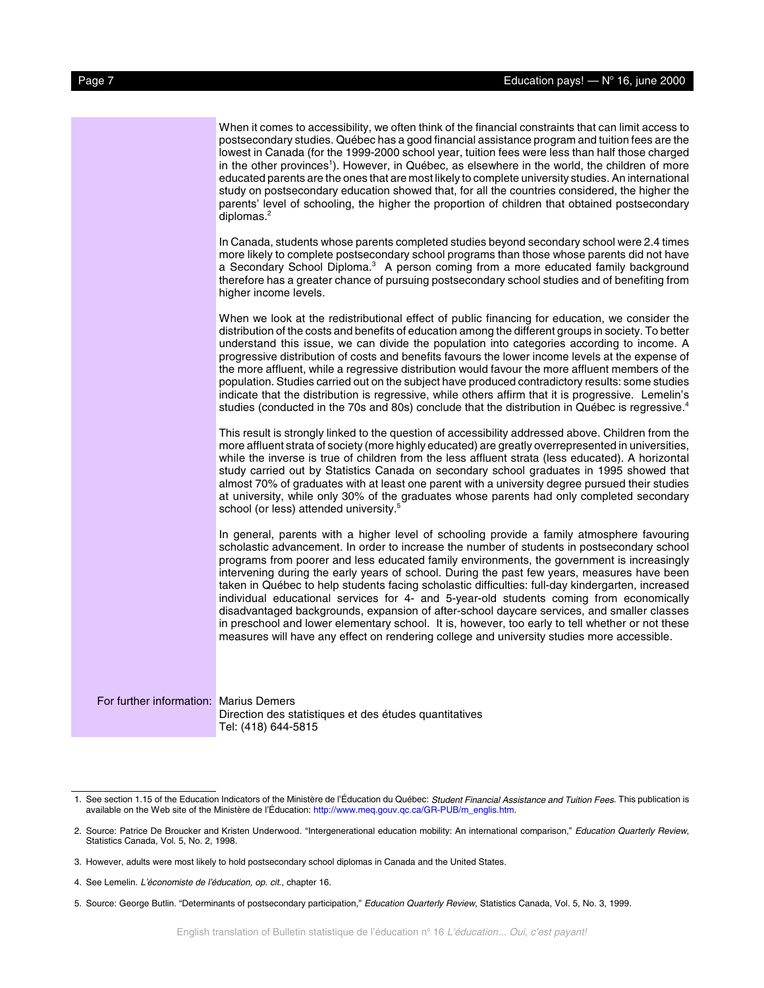|                                        | When it comes to accessibility, we often think of the financial constraints that can limit access to<br>postsecondary studies. Québec has a good financial assistance program and tuition fees are the<br>lowest in Canada (for the 1999-2000 school year, tuition fees were less than half those charged<br>in the other provinces <sup>1</sup> ). However, in Québec, as elsewhere in the world, the children of more<br>educated parents are the ones that are most likely to complete university studies. An international<br>study on postsecondary education showed that, for all the countries considered, the higher the<br>parents' level of schooling, the higher the proportion of children that obtained postsecondary<br>diplomas. $2$                                                                                                                                    |
|----------------------------------------|----------------------------------------------------------------------------------------------------------------------------------------------------------------------------------------------------------------------------------------------------------------------------------------------------------------------------------------------------------------------------------------------------------------------------------------------------------------------------------------------------------------------------------------------------------------------------------------------------------------------------------------------------------------------------------------------------------------------------------------------------------------------------------------------------------------------------------------------------------------------------------------|
|                                        | In Canada, students whose parents completed studies beyond secondary school were 2.4 times<br>more likely to complete postsecondary school programs than those whose parents did not have<br>a Secondary School Diploma. <sup>3</sup> A person coming from a more educated family background<br>therefore has a greater chance of pursuing postsecondary school studies and of benefiting from<br>higher income levels.                                                                                                                                                                                                                                                                                                                                                                                                                                                                |
|                                        | When we look at the redistributional effect of public financing for education, we consider the<br>distribution of the costs and benefits of education among the different groups in society. To better<br>understand this issue, we can divide the population into categories according to income. A<br>progressive distribution of costs and benefits favours the lower income levels at the expense of<br>the more affluent, while a regressive distribution would favour the more affluent members of the<br>population. Studies carried out on the subject have produced contradictory results: some studies<br>indicate that the distribution is regressive, while others affirm that it is progressive. Lemelin's<br>studies (conducted in the 70s and 80s) conclude that the distribution in Québec is regressive. <sup>4</sup>                                                 |
|                                        | This result is strongly linked to the question of accessibility addressed above. Children from the<br>more affluent strata of society (more highly educated) are greatly overrepresented in universities,<br>while the inverse is true of children from the less affluent strata (less educated). A horizontal<br>study carried out by Statistics Canada on secondary school graduates in 1995 showed that<br>almost 70% of graduates with at least one parent with a university degree pursued their studies<br>at university, while only 30% of the graduates whose parents had only completed secondary<br>school (or less) attended university. <sup>5</sup>                                                                                                                                                                                                                       |
|                                        | In general, parents with a higher level of schooling provide a family atmosphere favouring<br>scholastic advancement. In order to increase the number of students in postsecondary school<br>programs from poorer and less educated family environments, the government is increasingly<br>intervening during the early years of school. During the past few years, measures have been<br>taken in Québec to help students facing scholastic difficulties: full-day kindergarten, increased<br>individual educational services for 4- and 5-year-old students coming from economically<br>disadvantaged backgrounds, expansion of after-school daycare services, and smaller classes<br>in preschool and lower elementary school. It is, however, too early to tell whether or not these<br>measures will have any effect on rendering college and university studies more accessible. |
| For further information: Marius Demers | Direction des statistiques et des études quantitatives<br>Tel: (418) 644-5815                                                                                                                                                                                                                                                                                                                                                                                                                                                                                                                                                                                                                                                                                                                                                                                                          |

<sup>1.</sup> See section 1.15 of the Education Indicators of the Ministère de l'Éducation du Québec: Student Financial Assistance and Tuition Fees. This publication is available on the Web site of the Ministère de l'Éducation[: http://www.meq.gouv.qc.ca/GR-PUB/m\\_englis.htm.](http://www.meq.gouv.qc.ca/GR-PUB/m_englis.htm)

<sup>2.</sup> Source: Patrice De Broucker and Kristen Underwood. "Intergenerational education mobility: An international comparison," Education Quarterly Review, Statistics Canada, Vol. 5, No. 2, 1998.

<sup>3.</sup> However, adults were most likely to hold postsecondary school diplomas in Canada and the United States.

<sup>4.</sup> See Lemelin. L'économiste de l'éducation, op. cit., chapter 16.

<sup>5.</sup> Source: George Butlin. "Determinants of postsecondary participation," Education Quarterly Review, Statistics Canada, Vol. 5, No. 3, 1999.